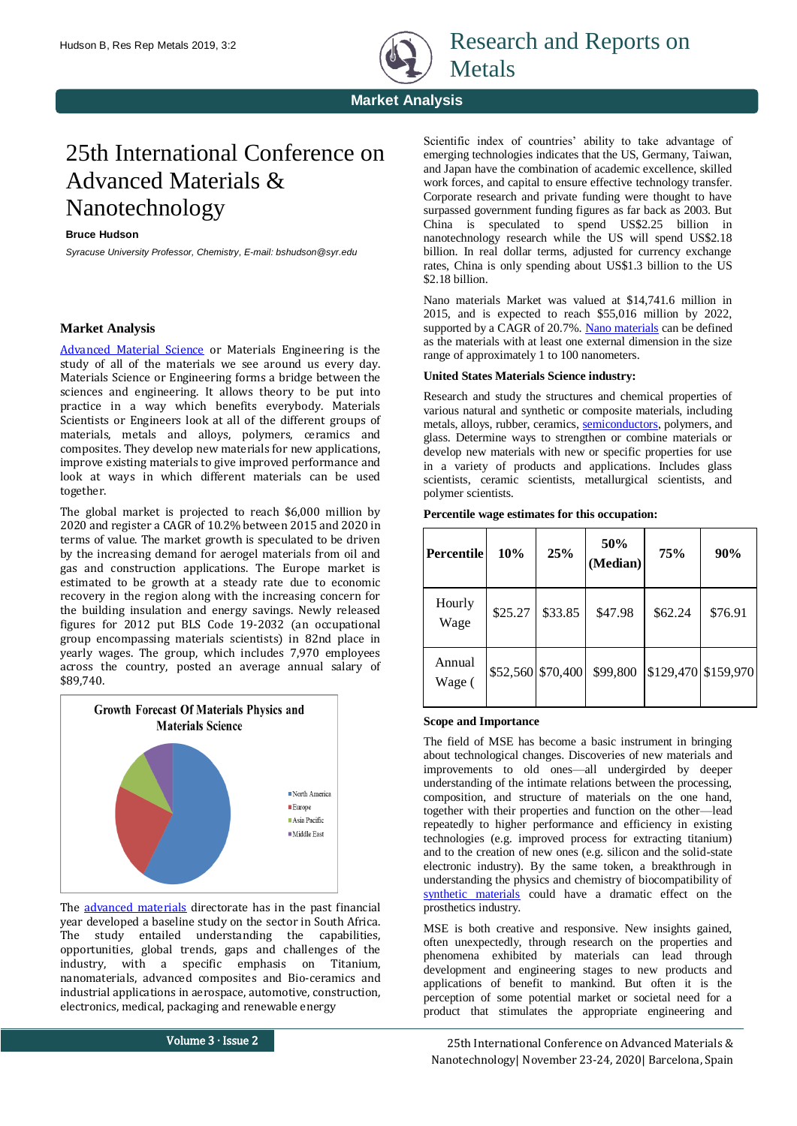

Research and Reports on Metals

**Market Analysis**

# 25th International Conference on Advanced Materials & Nanotechnology

## **Bruce Hudson**

*Syracuse University Professor, Chemistry, E-mail: bshudson@syr.edu*

# **Market Analysis**

[Advanced Material Science](https://europe.materialsconferences.com/) or Materials Engineering is the study of all of the materials we see around us every day. Materials Science or Engineering forms a bridge between the sciences and engineering. It allows theory to be put into practice in a way which benefits everybody. Materials Scientists or Engineers look at all of the different groups of materials, metals and alloys, polymers, ceramics and composites. They develop new materials for new applications, improve existing materials to give improved performance and look at ways in which different materials can be used together.

The global market is projected to reach \$6,000 million by 2020 and register a CAGR of 10.2% between 2015 and 2020 in terms of value. The market growth is speculated to be driven by the increasing demand for aerogel materials from oil and gas and construction applications. The Europe market is estimated to be growth at a steady rate due to economic recovery in the region along with the increasing concern for the building insulation and energy savings. Newly released figures for 2012 put BLS Code 19-2032 (an occupational group encompassing materials scientists) in 82nd place in yearly wages. The group, which includes 7,970 employees across the country, posted an average annual salary of \$89,740.



The [advanced materials](https://europe.materialsconferences.com/) directorate has in the past financial year developed a baseline study on the sector in South Africa. The study entailed understanding the capabilities, opportunities, global trends, gaps and challenges of the industry, with a specific emphasis on Titanium, nanomaterials, advanced composites and Bio-ceramics and industrial applications in aerospace, automotive, construction, electronics, medical, packaging and renewable energy

Scientific index of countries' ability to take advantage of emerging technologies indicates that the US, Germany, Taiwan, and Japan have the combination of academic excellence, skilled work forces, and capital to ensure effective technology transfer. Corporate research and private funding were thought to have surpassed government funding figures as far back as 2003. But China is speculated to spend US\$2.25 billion in nanotechnology research while the US will spend US\$2.18 billion. In real dollar terms, adjusted for currency exchange rates, China is only spending about US\$1.3 billion to the US \$2.18 billion.

Nano materials Market was valued at \$14,741.6 million in 2015, and is expected to reach \$55,016 million by 2022, supported by a CAGR of 20.7%. [Nano materials](https://europe.materialsconferences.com/) can be defined as the materials with at least one external dimension in the size range of approximately 1 to 100 nanometers.

# **United States Materials Science industry:**

Research and study the structures and chemical properties of various natural and synthetic or composite materials, including metals, alloys, rubber, ceramics, [semiconductors,](https://europe.materialsconferences.com/) polymers, and glass. Determine ways to strengthen or combine materials or develop new materials with new or specific properties for use in a variety of products and applications. Includes glass scientists, ceramic scientists, metallurgical scientists, and polymer scientists.

#### **Percentile wage estimates for this occupation:**

| Percentile       | 10%     | 25%               | 50%<br>(Median) | <b>75%</b> | 90%                 |
|------------------|---------|-------------------|-----------------|------------|---------------------|
| Hourly<br>Wage   | \$25.27 | \$33.85           | \$47.98         | \$62.24    | \$76.91             |
| Annual<br>Wage ( |         | \$52,560 \$70,400 | \$99,800        |            | \$129,470 \$159,970 |

#### **Scope and Importance**

The field of MSE has become a basic instrument in bringing about technological changes. Discoveries of new materials and improvements to old ones—all undergirded by deeper understanding of the intimate relations between the processing, composition, and structure of materials on the one hand, together with their properties and function on the other—lead repeatedly to higher performance and efficiency in existing technologies (e.g. improved process for extracting titanium) and to the creation of new ones (e.g. silicon and the solid-state electronic industry). By the same token, a breakthrough in understanding the physics and chemistry of biocompatibility of [synthetic materials](https://europe.materialsconferences.com/) could have a dramatic effect on the prosthetics industry.

MSE is both creative and responsive. New insights gained, often unexpectedly, through research on the properties and phenomena exhibited by materials can lead through development and engineering stages to new products and applications of benefit to mankind. But often it is the perception of some potential market or societal need for a product that stimulates the appropriate engineering and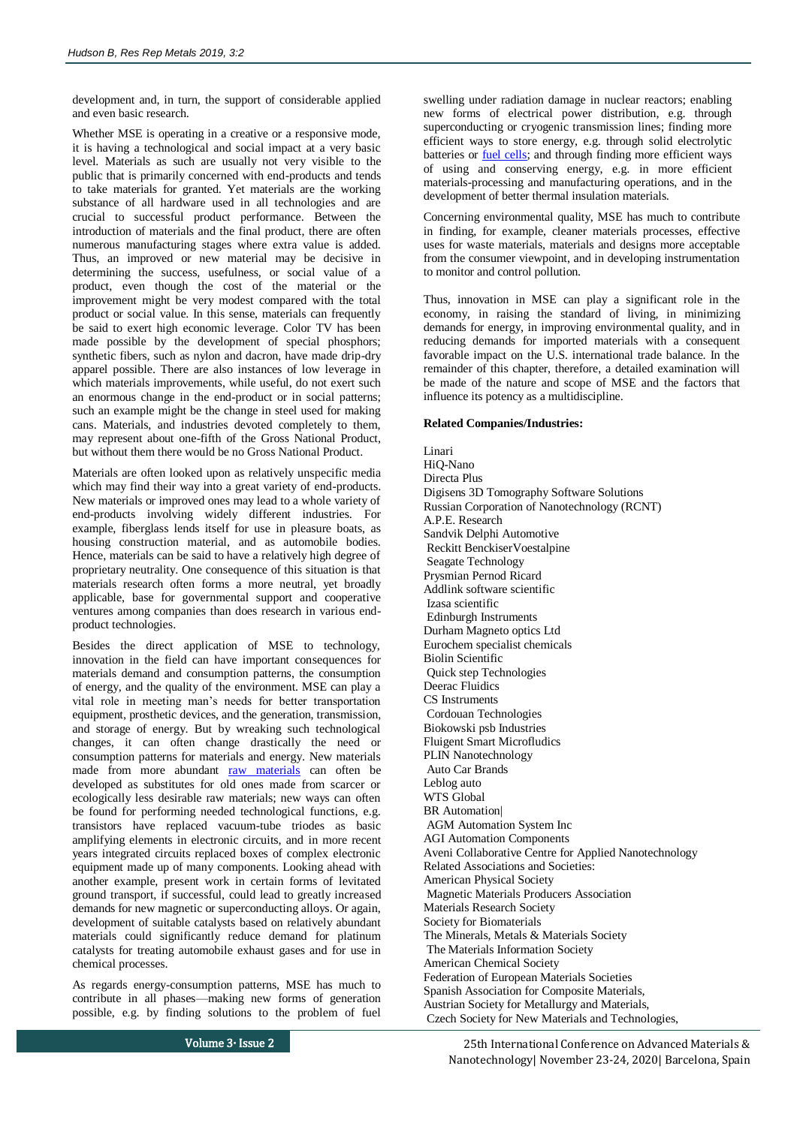development and, in turn, the support of considerable applied and even basic research.

Whether MSE is operating in a creative or a responsive mode, it is having a technological and social impact at a very basic level. Materials as such are usually not very visible to the public that is primarily concerned with end-products and tends to take materials for granted. Yet materials are the working substance of all hardware used in all technologies and are crucial to successful product performance. Between the introduction of materials and the final product, there are often numerous manufacturing stages where extra value is added. Thus, an improved or new material may be decisive in determining the success, usefulness, or social value of a product, even though the cost of the material or the improvement might be very modest compared with the total product or social value. In this sense, materials can frequently be said to exert high economic leverage. Color TV has been made possible by the development of special phosphors; synthetic fibers, such as nylon and dacron, have made drip-dry apparel possible. There are also instances of low leverage in which materials improvements, while useful, do not exert such an enormous change in the end-product or in social patterns; such an example might be the change in steel used for making cans. Materials, and industries devoted completely to them, may represent about one-fifth of the Gross National Product, but without them there would be no Gross National Product.

Materials are often looked upon as relatively unspecific media which may find their way into a great variety of end-products. New materials or improved ones may lead to a whole variety of end-products involving widely different industries. For example, fiberglass lends itself for use in pleasure boats, as housing construction material, and as automobile bodies. Hence, materials can be said to have a relatively high degree of proprietary neutrality. One consequence of this situation is that materials research often forms a more neutral, yet broadly applicable, base for governmental support and cooperative ventures among companies than does research in various endproduct technologies.

Besides the direct application of MSE to technology, innovation in the field can have important consequences for materials demand and consumption patterns, the consumption of energy, and the quality of the environment. MSE can play a vital role in meeting man's needs for better transportation equipment, prosthetic devices, and the generation, transmission, and storage of energy. But by wreaking such technological changes, it can often change drastically the need or consumption patterns for materials and energy. New materials made from more abundant [raw materials](https://europe.materialsconferences.com/) can often be developed as substitutes for old ones made from scarcer or ecologically less desirable raw materials; new ways can often be found for performing needed technological functions, e.g. transistors have replaced vacuum-tube triodes as basic amplifying elements in electronic circuits, and in more recent years integrated circuits replaced boxes of complex electronic equipment made up of many components. Looking ahead with another example, present work in certain forms of levitated ground transport, if successful, could lead to greatly increased demands for new magnetic or superconducting alloys. Or again, development of suitable catalysts based on relatively abundant materials could significantly reduce demand for platinum catalysts for treating automobile exhaust gases and for use in chemical processes.

As regards energy-consumption patterns, MSE has much to contribute in all phases—making new forms of generation possible, e.g. by finding solutions to the problem of fuel

swelling under radiation damage in nuclear reactors; enabling new forms of electrical power distribution, e.g. through superconducting or cryogenic transmission lines; finding more efficient ways to store energy, e.g. through solid electrolytic batteries or [fuel cells;](https://europe.materialsconferences.com/) and through finding more efficient ways of using and conserving energy, e.g. in more efficient materials-processing and manufacturing operations, and in the development of better thermal insulation materials.

Concerning environmental quality, MSE has much to contribute in finding, for example, cleaner materials processes, effective uses for waste materials, materials and designs more acceptable from the consumer viewpoint, and in developing instrumentation to monitor and control pollution.

Thus, innovation in MSE can play a significant role in the economy, in raising the standard of living, in minimizing demands for energy, in improving environmental quality, and in reducing demands for imported materials with a consequent favorable impact on the U.S. international trade balance. In the remainder of this chapter, therefore, a detailed examination will be made of the nature and scope of MSE and the factors that influence its potency as a multidiscipline.

## **Related Companies/Industries:**

Linari HiQ-Nano Directa Plus Digisens 3D Tomography Software Solutions Russian Corporation of Nanotechnology (RCNT) A.P.E. Research Sandvik Delphi Automotive Reckitt BenckiserVoestalpine Seagate Technology Prysmian Pernod Ricard Addlink software scientific Izasa scientific Edinburgh Instruments Durham Magneto optics Ltd Eurochem specialist chemicals Biolin Scientific Quick step Technologies Deerac Fluidics CS Instruments Cordouan Technologies Biokowski psb Industries Fluigent Smart Microfludics PLIN Nanotechnology Auto Car Brands Leblog auto WTS Global BR Automation| AGM Automation System Inc AGI Automation Components Aveni Collaborative Centre for Applied Nanotechnology Related Associations and Societies: American Physical Society Magnetic Materials Producers Association Materials Research Society Society for Biomaterials The Minerals, Metals & Materials Society The Materials Information Society American Chemical Society Federation of European Materials Societies Spanish Association for Composite Materials, Austrian Society for Metallurgy and Materials, Czech Society for New Materials and Technologies,

Volume 3∙ Issue 2 25th International Conference on Advanced Materials & Nanotechnology| November 23-24, 2020| Barcelona, Spain